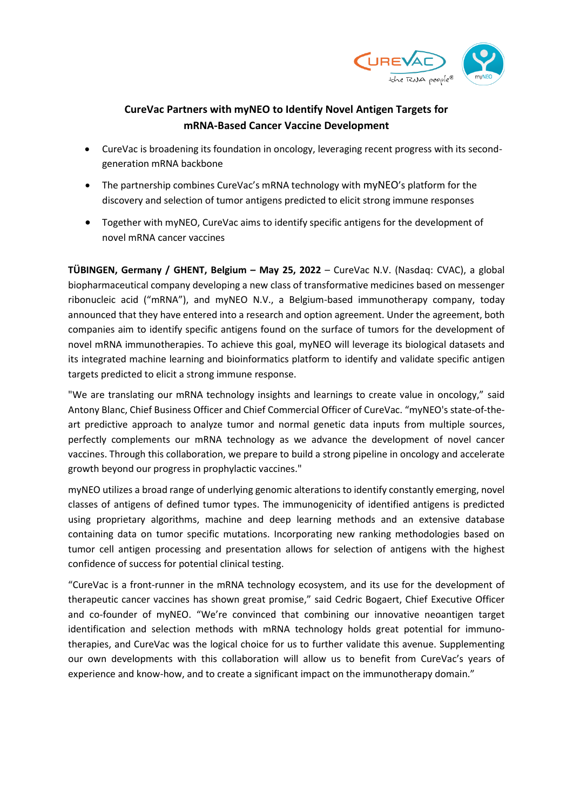

# **CureVac Partners with myNEO to Identify Novel Antigen Targets for mRNA-Based Cancer Vaccine Development**

- CureVac is broadening its foundation in oncology, leveraging recent progress with its secondgeneration mRNA backbone
- The partnership combines CureVac's mRNA technology with myNEO's platform for the discovery and selection of tumor antigens predicted to elicit strong immune responses
- Together with myNEO, CureVac aims to identify specific antigens for the development of novel mRNA cancer vaccines

**TÜBINGEN, Germany / GHENT, Belgium – May 25, 2022** – CureVac N.V. (Nasdaq: CVAC), a global biopharmaceutical company developing a new class of transformative medicines based on messenger ribonucleic acid ("mRNA"), and myNEO N.V., a Belgium-based immunotherapy company, today announced that they have entered into a research and option agreement. Under the agreement, both companies aim to identify specific antigens found on the surface of tumors for the development of novel mRNA immunotherapies. To achieve this goal, myNEO will leverage its biological datasets and its integrated machine learning and bioinformatics platform to identify and validate specific antigen targets predicted to elicit a strong immune response.

"We are translating our mRNA technology insights and learnings to create value in oncology," said Antony Blanc, Chief Business Officer and Chief Commercial Officer of CureVac. "myNEO's state-of-theart predictive approach to analyze tumor and normal genetic data inputs from multiple sources, perfectly complements our mRNA technology as we advance the development of novel cancer vaccines. Through this collaboration, we prepare to build a strong pipeline in oncology and accelerate growth beyond our progress in prophylactic vaccines."

myNEO utilizes a broad range of underlying genomic alterations to identify constantly emerging, novel classes of antigens of defined tumor types. The immunogenicity of identified antigens is predicted using proprietary algorithms, machine and deep learning methods and an extensive database containing data on tumor specific mutations. Incorporating new ranking methodologies based on tumor cell antigen processing and presentation allows for selection of antigens with the highest confidence of success for potential clinical testing.

"CureVac is a front-runner in the mRNA technology ecosystem, and its use for the development of therapeutic cancer vaccines has shown great promise," said Cedric Bogaert, Chief Executive Officer and co-founder of myNEO. "We're convinced that combining our innovative neoantigen target identification and selection methods with mRNA technology holds great potential for immunotherapies, and CureVac was the logical choice for us to further validate this avenue. Supplementing our own developments with this collaboration will allow us to benefit from CureVac's years of experience and know-how, and to create a significant impact on the immunotherapy domain."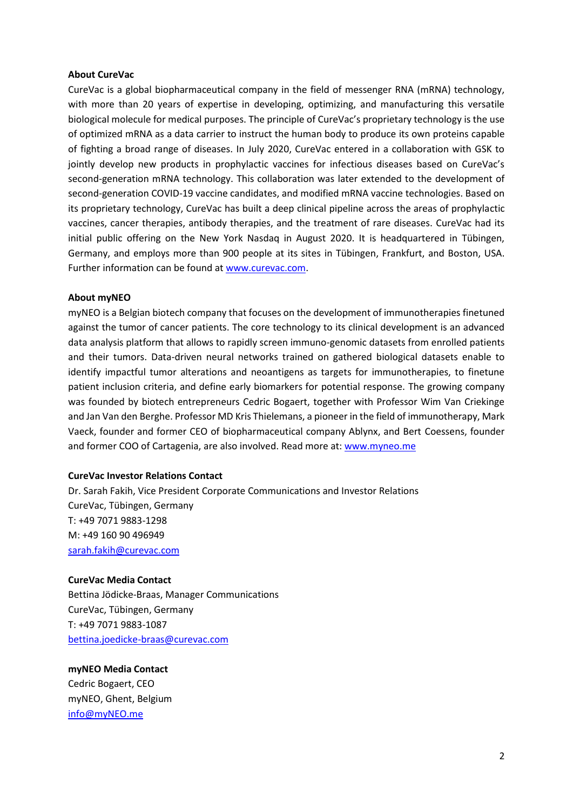## **About CureVac**

CureVac is a global biopharmaceutical company in the field of messenger RNA (mRNA) technology, with more than 20 years of expertise in developing, optimizing, and manufacturing this versatile biological molecule for medical purposes. The principle of CureVac's proprietary technology is the use of optimized mRNA as a data carrier to instruct the human body to produce its own proteins capable of fighting a broad range of diseases. In July 2020, CureVac entered in a collaboration with GSK to jointly develop new products in prophylactic vaccines for infectious diseases based on CureVac's second-generation mRNA technology. This collaboration was later extended to the development of second-generation COVID-19 vaccine candidates, and modified mRNA vaccine technologies. Based on its proprietary technology, CureVac has built a deep clinical pipeline across the areas of prophylactic vaccines, cancer therapies, antibody therapies, and the treatment of rare diseases. CureVac had its initial public offering on the New York Nasdaq in August 2020. It is headquartered in Tübingen, Germany, and employs more than 900 people at its sites in Tübingen, Frankfurt, and Boston, USA. Further information can be found at [www.curevac.com.](http://www.curevac.com/)

#### **About myNEO**

myNEO is a Belgian biotech company that focuses on the development of immunotherapies finetuned against the tumor of cancer patients. The core technology to its clinical development is an advanced data analysis platform that allows to rapidly screen immuno-genomic datasets from enrolled patients and their tumors. Data-driven neural networks trained on gathered biological datasets enable to identify impactful tumor alterations and neoantigens as targets for immunotherapies, to finetune patient inclusion criteria, and define early biomarkers for potential response. The growing company was founded by biotech entrepreneurs Cedric Bogaert, together with Professor Wim Van Criekinge and Jan Van den Berghe. Professor MD Kris Thielemans, a pioneer in the field of immunotherapy, Mark Vaeck, founder and former CEO of biopharmaceutical company Ablynx, and Bert Coessens, founder and former COO of Cartagenia, are also involved. Read more at: [www.myneo.me](http://www.myneo.me/)

# **CureVac Investor Relations Contact**

Dr. Sarah Fakih, Vice President Corporate Communications and Investor Relations CureVac, Tübingen, Germany T: +49 7071 9883-1298 M: +49 160 90 496949 [sarah.fakih@curevac.com](mailto:sarah.fakih@curevac.com)

#### **CureVac Media Contact**

Bettina Jödicke-Braas, Manager Communications CureVac, Tübingen, Germany T: +49 7071 9883-1087 [bettina.joedicke-braas@curevac.com](mailto:bettina.joedicke-braas@curevac.com)

# **myNEO Media Contact**

Cedric Bogaert, CEO myNEO, Ghent, Belgium [info@myNEO.me](mailto:info@myNEO.me)